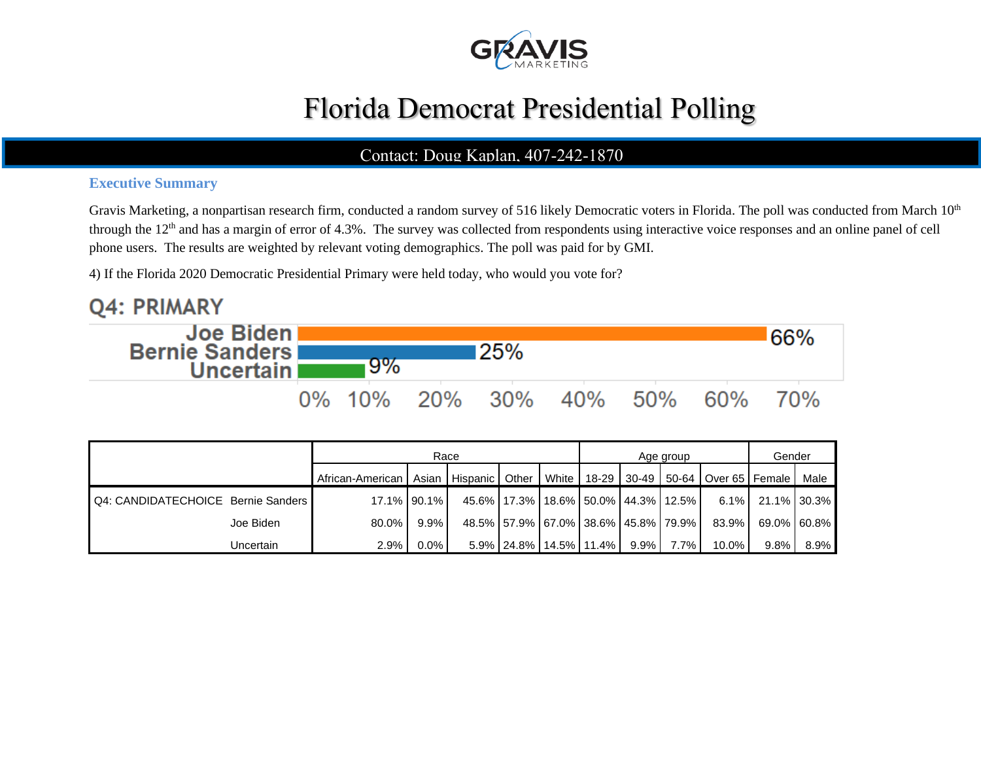

# Florida Democrat Presidential Polling

### Contact: Doug Kaplan, 407-242-1870

### **Executive Summary**

Gravis Marketing, a nonpartisan research firm, conducted a random survey of 516 likely Democratic voters in Florida. The poll was conducted from March 10<sup>th</sup> through the 12<sup>th</sup> and has a margin of error of 4.3%. The survey was collected from respondents using interactive voice responses and an online panel of cell phone users. The results are weighted by relevant voting demographics. The poll was paid for by GMI.

4) If the Florida 2020 Democratic Presidential Primary were held today, who would you vote for?

#### **Q4: PRIMARY Joe Biden** 66% **Bernie Sanders** 25% 9% **Uncertain** 0% 10% 20%  $30%$ 40% 50% 60% 70%

|                                    |           | Race                                                                                                  |             |  |                                               |  | Age group | Gender |          |         |             |
|------------------------------------|-----------|-------------------------------------------------------------------------------------------------------|-------------|--|-----------------------------------------------|--|-----------|--------|----------|---------|-------------|
|                                    |           | African-American   Asian   Hispanic   Other   White   18-29   30-49   50-64   Over 65   Female   Male |             |  |                                               |  |           |        |          |         |             |
| Q4: CANDIDATECHOICE Bernie Sanders |           |                                                                                                       | 17.1% 90.1% |  | 45.6%   17.3%   18.6%   50.0%   44.3%   12.5% |  |           |        | $6.1\%$  |         | 21.1% 30.3% |
|                                    | Joe Biden | $80.0\%$                                                                                              | $9.9\%$     |  | 48.5% 57.9% 67.0% 38.6% 45.8% 79.9%           |  |           |        | 83.9%    |         | 69.0% 60.8% |
|                                    | Uncertain | 2.9%                                                                                                  | $0.0\%$     |  | $5.9\%$   24.8%   14.5%   11.4%   9.9%        |  |           | 7.7% l | $10.0\%$ | $9.8\%$ | $8.9\%$     |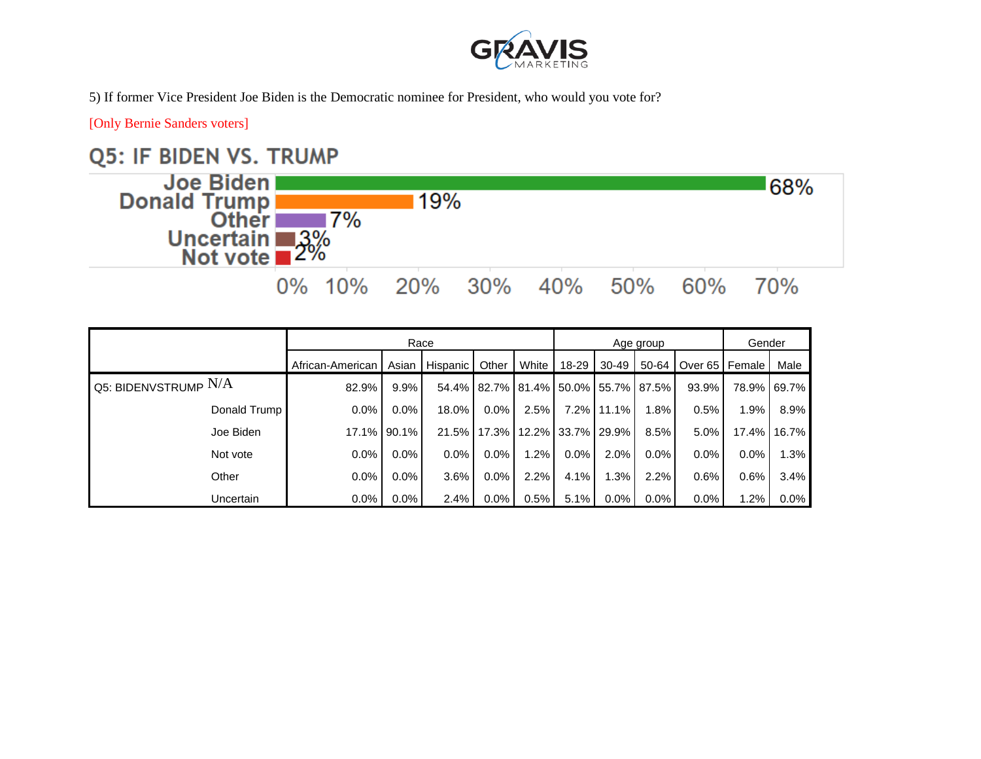

5) If former Vice President Joe Biden is the Democratic nominee for President, who would you vote for?

[Only Bernie Sanders voters]

## **Q5: IF BIDEN VS. TRUMP**



|                                              | Race |                  |          |                |          |                                               | Age group   | Gender  |         |                  |       |             |
|----------------------------------------------|------|------------------|----------|----------------|----------|-----------------------------------------------|-------------|---------|---------|------------------|-------|-------------|
|                                              |      | African-American |          | Asian Hispanic | Other    | White                                         | 18-29       | 30-49   | 50-64   | Over 65   Female |       | Male        |
| <b>Q5: BIDENVSTRUMP <math>\rm N/A</math></b> |      | 82.9%            | $9.9\%$  |                |          | 54.4%   82.7%   81.4%   50.0%   55.7%   87.5% |             |         |         | 93.9%            |       | 78.9% 69.7% |
| Donald Trump                                 |      | 0.0%             | $0.0\%$  | 18.0%          | $0.0\%$  | 2.5%                                          | 7.2%        | 11.1%   | 1.8%    | 0.5%             | 1.9%  | 8.9%        |
| Joe Biden                                    |      | 17.1%            | $90.1\%$ | 21.5%          | $17.3\%$ |                                               | 12.2% 33.7% | 29.9%   | 8.5%    | 5.0%             | 17.4% | 16.7%       |
| Not vote                                     |      | 0.0%             | 0.0%     | $0.0\%$        | $0.0\%$  | 1.2%                                          | 0.0%        | 2.0%    | 0.0%    | $0.0\%$          | 0.0%  | 1.3%        |
| Other                                        |      | 0.0%             | 0.0%     | 3.6%           | $0.0\%$  | 2.2%                                          | 4.1%        | .3%     | 2.2%    | 0.6%             | 0.6%  | 3.4%        |
| Uncertain                                    |      | $0.0\%$          | $0.0\%$  | 2.4%           | $0.0\%$  | 0.5%                                          | 5.1%        | $0.0\%$ | $0.0\%$ | $0.0\%$          | 1.2%  | $0.0\%$     |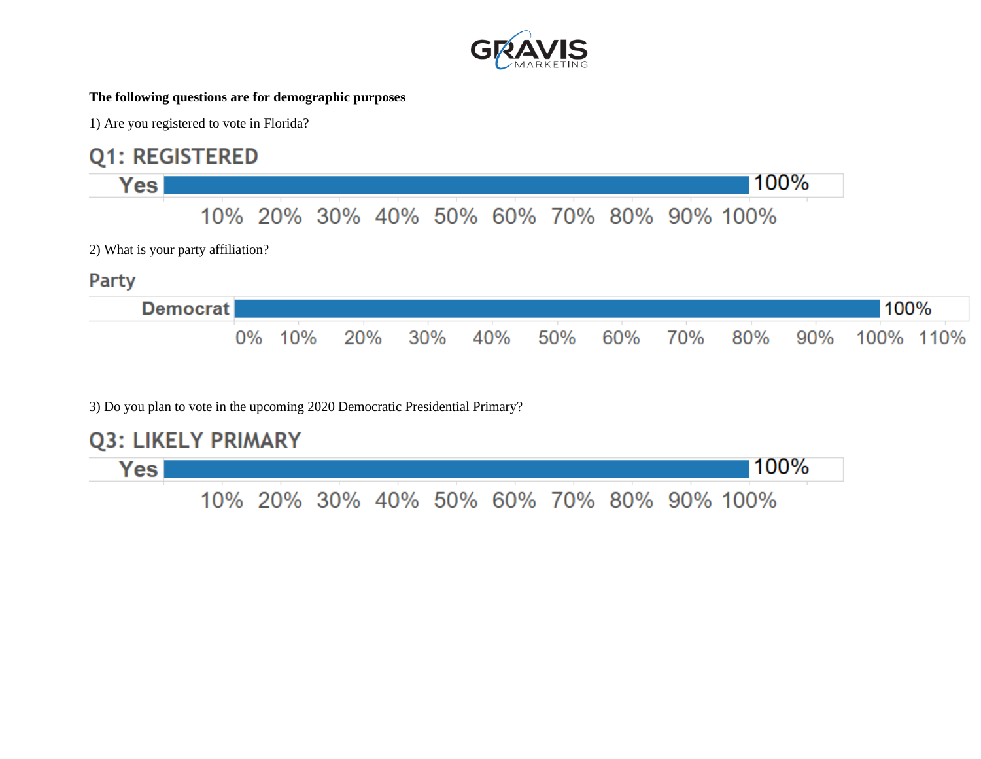

#### **The following questions are for demographic purposes**

1) Are you registered to vote in Florida?

## **Q1: REGISTERED**



3) Do you plan to vote in the upcoming 2020 Democratic Presidential Primary?

**Q3: LIKELY PRIMARY** 

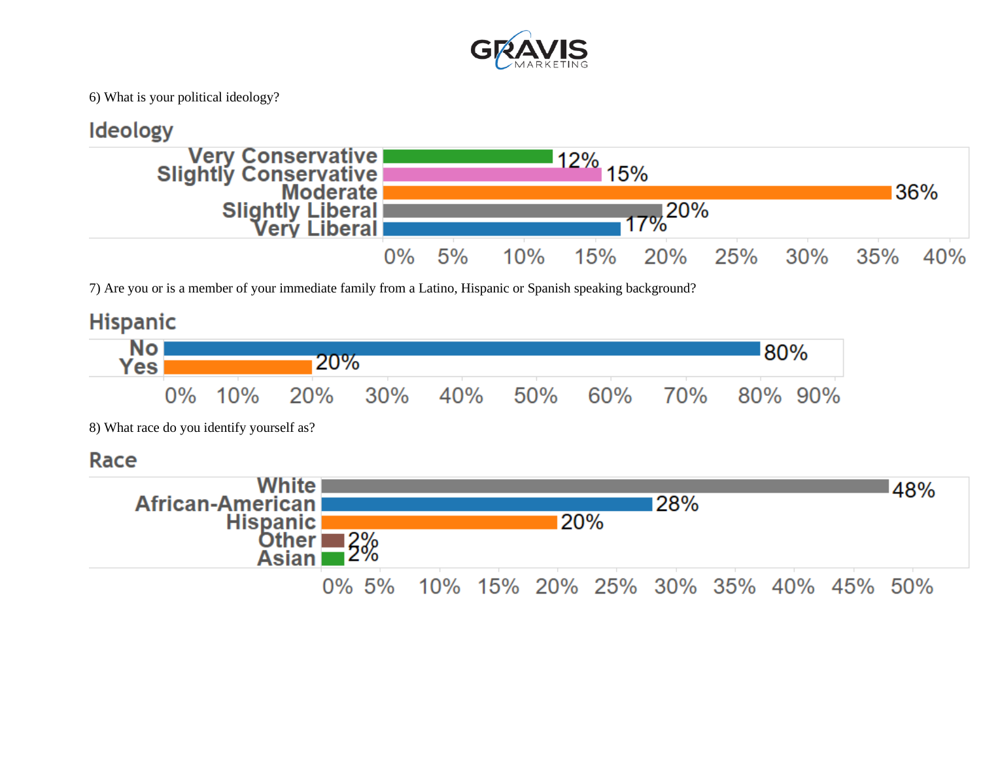

6) What is your political ideology?



7) Are you or is a member of your immediate family from a Latino, Hispanic or Spanish speaking background?

## **Hispanic**



8) What race do you identify yourself as?

### Race

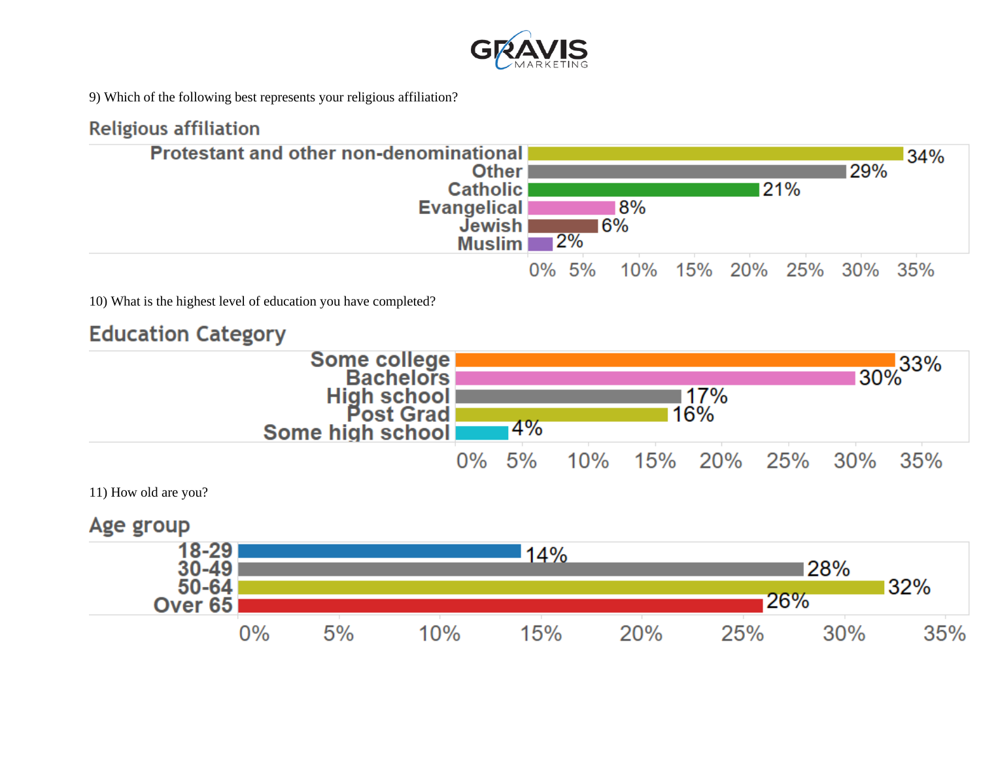

9) Which of the following best represents your religious affiliation?

## **Religious affiliation**



10) What is the highest level of education you have completed?

## **Education Category**



11) How old are you?